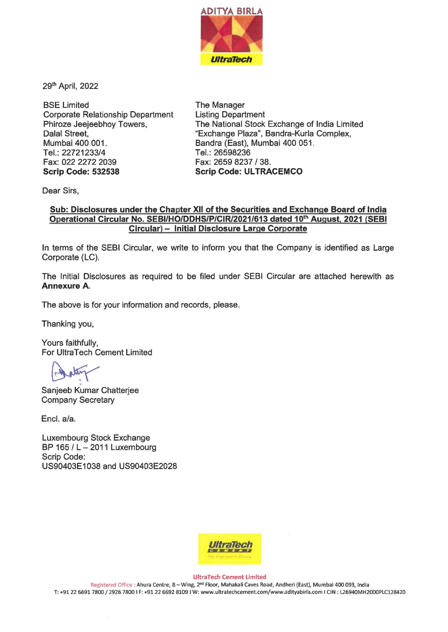

29th April, 2022

BSE Limited Corporate Relationship Department Phiroze Jeejeebhoy Towers, Dalal Street, Mumbai 400 001. Tel.: 22721233/4 Fax: 022 2272 2039 **Scrip Code: 532538** 

The Manager Listing Department The National Stock Exchange of India Limited "Exchange Plaza", Bandra-Kurla Complex, Bandra (East), Mumbai 400 051. Tel.: 26598236 Fax: 2659 8237 / 38. **Scrip Code: ULTRACEMCO** 

Dear Sirs,

## **Sub: Disclosures under the Chapter XII of the Securities and Exchange Board of India Operational Circular No. SEBI/HO/DDHS/P/CIR/2021/613 dated 10th August, 2021 (SEBI Circular)** - **Initial Disclosure Large Corporate**

In terms of the SEBI Circular, we write to inform you that the Company is identified as Large Corporate (LC).

The Initial Disclosures as required to be filed under SEBI Circular are attached herewith as **Annexure A.** 

The above is for your information and records, please.

Thanking you,

Yours faithfully, For UltraTech Cement Limited

Sanjeeb Kumar Chatterjee Company Secretary

Encl. a/a.

Luxembourg Stock Exchange BP 165 / L - 2011 Luxembourg Scrip Code: US90403E1038 and US90403E2028



**UltraTech Cement Limited** 

Registered Office : Ahura Centre, B-Wing, 2nd Floor, Mahakali Caves Road, Andheri (East), Mumbai 400 093, India T: +91 22 6691 7800 / 2926 7800 IF: +9122 6692 8109 I W: www.ultratechcement.com/www.adityabirla.com I CIN : L26940MH2000PLC128420